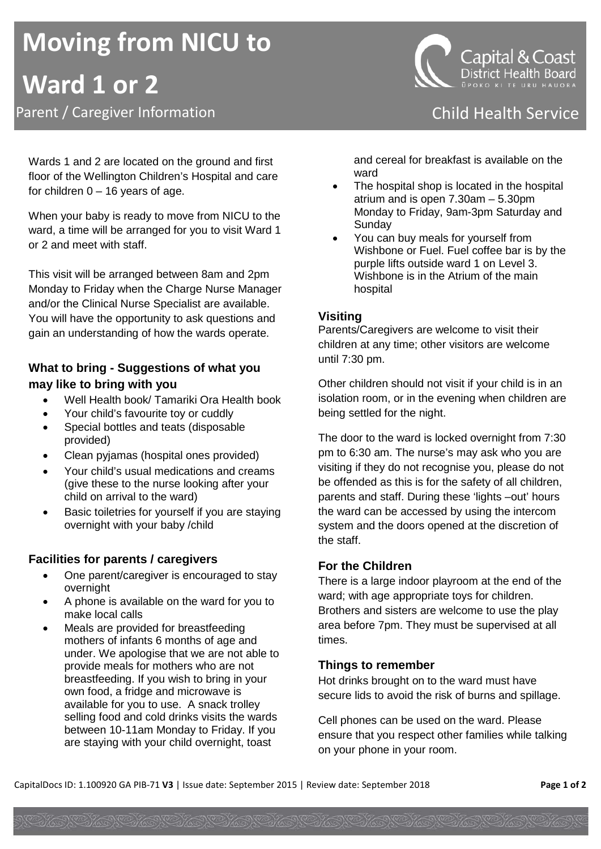# **Moving from NICU to Ward 1 or 2** Parent / Caregiver Information **Child Health Service Child Health Service**

Wards 1 and 2 are located on the ground and first floor of the Wellington Children's Hospital and care for children  $0 - 16$  years of age.

When your baby is ready to move from NICU to the ward, a time will be arranged for you to visit Ward 1 or 2 and meet with staff.

This visit will be arranged between 8am and 2pm Monday to Friday when the Charge Nurse Manager and/or the Clinical Nurse Specialist are available. You will have the opportunity to ask questions and gain an understanding of how the wards operate.

# **What to bring - Suggestions of what you may like to bring with you**

- Well Health book/ Tamariki Ora Health book
- Your child's favourite toy or cuddly
- Special bottles and teats (disposable provided)
- Clean pyjamas (hospital ones provided)
- Your child's usual medications and creams (give these to the nurse looking after your child on arrival to the ward)
- Basic toiletries for yourself if you are staying overnight with your baby /child

# **Facilities for parents / caregivers**

- One parent/caregiver is encouraged to stay overnight
- A phone is available on the ward for you to make local calls
- Meals are provided for breastfeeding mothers of infants 6 months of age and under. We apologise that we are not able to provide meals for mothers who are not breastfeeding. If you wish to bring in your own food, a fridge and microwave is available for you to use. A snack trolley selling food and cold drinks visits the wards between 10-11am Monday to Friday. If you are staying with your child overnight, toast

**ŪPOKO KI TE URU HAUORA** 

and cereal for breakfast is available on the ward

- The hospital shop is located in the hospital atrium and is open 7.30am – 5.30pm Monday to Friday, 9am-3pm Saturday and Sunday
- You can buy meals for yourself from Wishbone or Fuel. Fuel coffee bar is by the purple lifts outside ward 1 on Level 3. Wishbone is in the Atrium of the main hospital

## **Visiting**

Parents/Caregivers are welcome to visit their children at any time; other visitors are welcome until 7:30 pm.

Other children should not visit if your child is in an isolation room, or in the evening when children are being settled for the night.

The door to the ward is locked overnight from 7:30 pm to 6:30 am. The nurse's may ask who you are visiting if they do not recognise you, please do not be offended as this is for the safety of all children, parents and staff. During these 'lights –out' hours the ward can be accessed by using the intercom system and the doors opened at the discretion of the staff.

## **For the Children**

There is a large indoor playroom at the end of the ward; with age appropriate toys for children. Brothers and sisters are welcome to use the play area before 7pm. They must be supervised at all times.

## **Things to remember**

Hot drinks brought on to the ward must have secure lids to avoid the risk of burns and spillage.

Cell phones can be used on the ward. Please ensure that you respect other families while talking on your phone in your room.